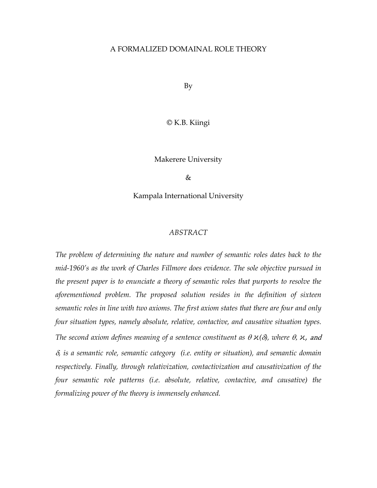#### A FORMALIZED DOMAINAL ROLE THEORY

By

© K.B. Kiingi

Makerere University

 $\&$ 

Kampala International University

#### *ABSTRACT*

*The problem of determining the nature and number of semantic roles dates back to the mid-1960's as the work of Charles Fillmore does evidence. The sole objective pursued in the present paper is to enunciate a theory of semantic roles that purports to resolve the aforementioned problem. The proposed solution resides in the definition of sixteen semantic roles in line with two axioms. The first axiom states that there are four and only four situation types, namely absolute, relative, contactive, and causative situation types. The second axiom defines meaning of a sentence constituent as*  $\theta \varkappa(\delta)$ *, where*  $\theta$ *,*  $\varkappa$ *, and* δ*, is a semantic role, semantic category (i.e. entity or situation), and semantic domain respectively. Finally, through relativization, contactivization and causativization of the four semantic role patterns (i.e. absolute, relative, contactive, and causative) the formalizing power of the theory is immensely enhanced.*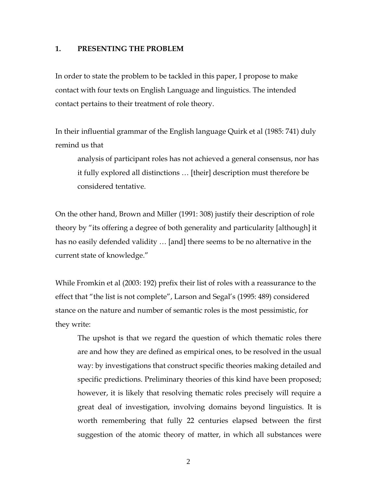#### **1. PRESENTING THE PROBLEM**

In order to state the problem to be tackled in this paper, I propose to make contact with four texts on English Language and linguistics. The intended contact pertains to their treatment of role theory.

In their influential grammar of the English language Quirk et al (1985: 741) duly remind us that

analysis of participant roles has not achieved a general consensus, nor has it fully explored all distinctions … [their] description must therefore be considered tentative.

On the other hand, Brown and Miller (1991: 308) justify their description of role theory by "its offering a degree of both generality and particularity [although] it has no easily defended validity … [and] there seems to be no alternative in the current state of knowledge."

While Fromkin et al (2003: 192) prefix their list of roles with a reassurance to the effect that "the list is not complete", Larson and Segal's (1995: 489) considered stance on the nature and number of semantic roles is the most pessimistic, for they write:

The upshot is that we regard the question of which thematic roles there are and how they are defined as empirical ones, to be resolved in the usual way: by investigations that construct specific theories making detailed and specific predictions. Preliminary theories of this kind have been proposed; however, it is likely that resolving thematic roles precisely will require a great deal of investigation, involving domains beyond linguistics. It is worth remembering that fully 22 centuries elapsed between the first suggestion of the atomic theory of matter, in which all substances were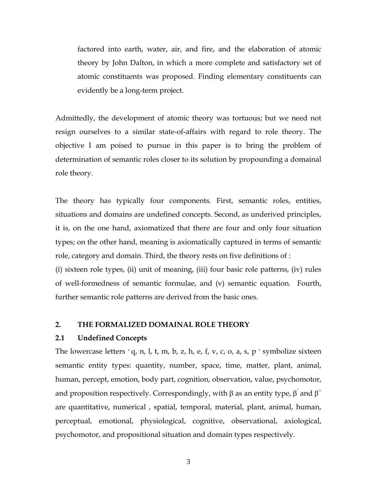factored into earth, water, air, and fire, and the elaboration of atomic theory by John Dalton, in which a more complete and satisfactory set of atomic constituents was proposed. Finding elementary constituents can evidently be a long-term project.

Admittedly, the development of atomic theory was tortuous; but we need not resign ourselves to a similar state-of-affairs with regard to role theory. The objective I am poised to pursue in this paper is to bring the problem of determination of semantic roles closer to its solution by propounding a domainal role theory.

The theory has typically four components. First, semantic roles, entities, situations and domains are undefined concepts. Second, as underived principles, it is, on the one hand, axiomatized that there are four and only four situation types; on the other hand, meaning is axiomatically captured in terms of semantic role, category and domain. Third, the theory rests on five definitions of : (i) sixteen role types, (ii) unit of meaning, (iii) four basic role patterns, (iv) rules of well-formedness of semantic formulae, and (v) semantic equation. Fourth, further semantic role patterns are derived from the basic ones.

### **2. THE FORMALIZED DOMAINAL ROLE THEORY**

#### **2.1 Undefined Concepts**

The lowercase letters  $\lceil q, n, l, t, m, b, z, h, e, f, v, c, o, a, s, p \rceil$  symbolize sixteen semantic entity types: quantity, number, space, time, matter, plant, animal, human, percept, emotion, body part, cognition, observation, value, psychomotor, and proposition respectively. Correspondingly, with  $\beta$  as an entity type,  $\beta^{'}$  and  $\beta^{''}$ are quantitative, numerical , spatial, temporal, material, plant, animal, human, perceptual, emotional, physiological, cognitive, observational, axiological, psychomotor, and propositional situation and domain types respectively.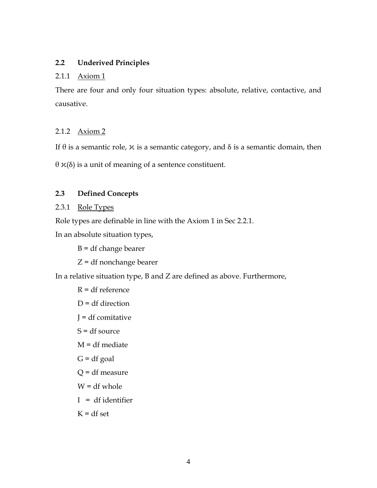# **2.2 Underived Principles**

### 2.1.1 Axiom 1

There are four and only four situation types: absolute, relative, contactive, and causative.

# 2.1.2 Axiom 2

If  $θ$  is a semantic role,  $x$  is a semantic category, and  $δ$  is a semantic domain, then

θ ϰ(δ) is a unit of meaning of a sentence constituent.

# **2.3 Defined Concepts**

# 2.3.1 Role Types

Role types are definable in line with the Axiom 1 in Sec 2.2.1.

In an absolute situation types,

B = df change bearer

Z = df nonchange bearer

In a relative situation type, B and Z are defined as above. Furthermore,

```
R = df reference
D = df direction
J = df comitative
S = df source
M = df mediate
G = df goal
Q = df measure
W = df whole
I = df identifier
K = df set
```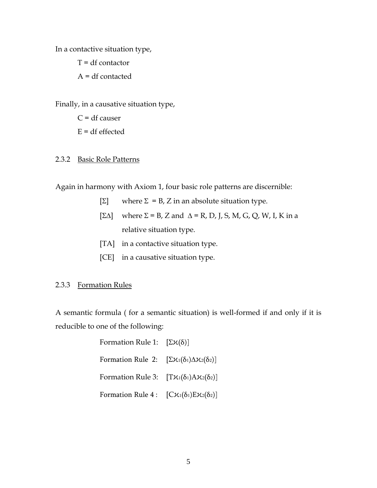In a contactive situation type,

 $T = df$  contactor

A = df contacted

Finally, in a causative situation type,

 $C = df$  causer  $E = df$  effected

## 2.3.2 Basic Role Patterns

Again in harmony with Axiom 1, four basic role patterns are discernible:

- [Σ] where  $Σ = B$ , Z in an absolute situation type.
- [ΣΔ] where  $\Sigma$  = B, Z and  $\Delta$  = R, D, J, S, M, G, Q, W, I, K in a relative situation type.
- [TA] in a contactive situation type.
- [CE] in a causative situation type.

### 2.3.3 Formation Rules

A semantic formula ( for a semantic situation) is well-formed if and only if it is reducible to one of the following:

| Formation Rule 1: $[\Sigma \varkappa(\delta)]$                                      |  |
|-------------------------------------------------------------------------------------|--|
| Formation Rule 2: $[\Sigma \mathcal{K}_1(\delta_1) \Delta \mathcal{K}_2(\delta_2)]$ |  |
| Formation Rule 3: $[T\mathcal{X}_1(\delta_1)A\mathcal{X}_2(\delta_2)]$              |  |
| Formation Rule 4: $[C\mathcal{X}_1(\delta_1)E\mathcal{X}_2(\delta_2)]$              |  |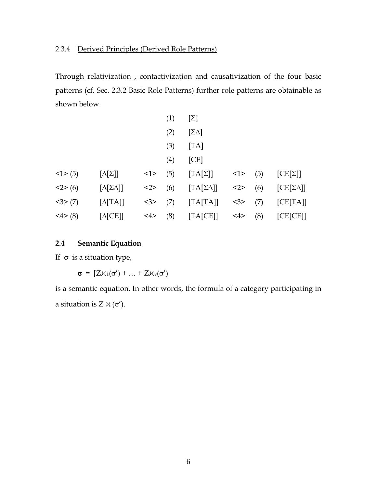## 2.3.4 Derived Principles (Derived Role Patterns)

Through relativization , contactivization and causativization of the four basic patterns (cf. Sec. 2.3.2 Basic Role Patterns) further role patterns are obtainable as shown below.

|          |                          |           | (1) | $[\Sigma]$           |     |     |                      |
|----------|--------------------------|-----------|-----|----------------------|-----|-----|----------------------|
|          |                          |           | (2) | $[\Sigma \Delta]$    |     |     |                      |
|          |                          |           | (3) | [TA]                 |     |     |                      |
|          |                          |           | (4) | [CE]                 |     |     |                      |
| $<1$ (5) | $[\Delta[\Sigma]]$       | $\leq$ 1> | (5) | $[TA[\Sigma]]$       | <1> | (5) | $[CE[\Sigma]]$       |
| 2>(6)    | $[\Delta[\Sigma\Delta]]$ | <2>       | (6) | $[TA[\Sigma\Delta]]$ | <2> | (6) | $[CE[\Sigma\Delta]]$ |
| 3>(7)    | $[\Delta[TA]]$           | <3>       | (7) | [TA[TA]]             | <3> | (7) | [CE[TA]]             |
| <4>(8)   | $[\Delta [CE]]$          | 4>        | (8) | [TA[CE]]             | 4>  | (8) | [CE[CE]              |

# **2.4 Semantic Equation**

If  $\sigma$  is a situation type,

 $\sigma = [Z\chi_1(\sigma') + ... + Z\chi_{\nu}(\sigma')]$ 

is a semantic equation. In other words, the formula of a category participating in a situation is  $Z \n\times (\sigma')$ .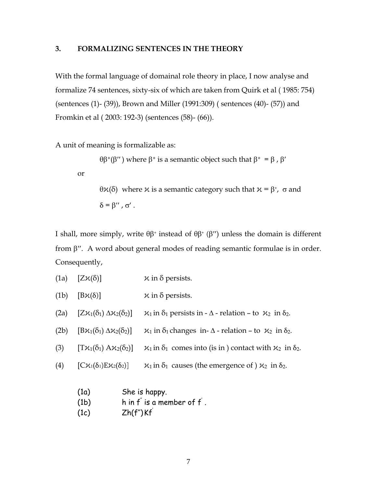# **3. FORMALIZING SENTENCES IN THE THEORY**

With the formal language of domainal role theory in place, I now analyse and formalize 74 sentences, sixty-six of which are taken from Quirk et al ( 1985: 754) (sentences (1)- (39)), Brown and Miller (1991:309) ( sentences (40)- (57)) and Fromkin et al ( 2003: 192-3) (sentences (58)- (66)).

A unit of meaning is formalizable as:

$$
\theta \beta^+(\beta'')
$$
 where  $\beta^+$  is a semantic object such that  $\beta^+ = \beta$ ,  $\beta'$ 

or

θ $X$ (δ) where  $X$  is a semantic category such that  $X = \beta^*$ ,  $\sigma$  and  $\delta = \beta''$ ,  $\sigma'$ .

I shall, more simply, write  $θβ$ <sup>+</sup> instead of  $θβ$ <sup>+</sup> ( $β$ '') unless the domain is different from β′′. A word about general modes of reading semantic formulae is in order. Consequently,

- (1a)  $[Z\mathcal{K}(\delta)]$   $\mathcal{K}$  in  $\delta$  persists.
- (1b)  $[B\mathcal{K}(\delta)]$   $\mathcal{K}$  in  $\delta$  persists.
- (2a)  $[Z\mathcal{X}_1(\delta_1) \Delta\mathcal{X}_2(\delta_2)] \quad \mathcal{X}_1$  in  $\delta_1$  persists in  $\Delta$  relation to  $\mathcal{X}_2$  in  $\delta_2$ .
- (2b)  $[B\mathcal{K}_1(\delta_1) \Delta\mathcal{K}_2(\delta_2)]$   $\mathcal{K}_1$  in  $\delta_1$  changes in- $\Delta$  relation to  $\mathcal{K}_2$  in  $\delta_2$ .
- (3)  $[T\mathcal{H}_1(\delta_1) \mathcal{H}_2(\delta_2)] \quad \mathcal{H}_1$  in  $\delta_1$  comes into (is in ) contact with  $\mathcal{H}_2$  in  $\delta_2$ .
- (4)  $[C\mathcal{K}_1(\delta_1)E\mathcal{K}_2(\delta_2)]$   $\mathcal{K}_1$  in  $\delta_1$  causes (the emergence of )  $\mathcal{K}_2$  in  $\delta_2$ .
	- (1a) She is happy.
	- (1b) h in  $f^{\degree}$  is a member of  $f^{\degree}$  .
	- $(Ic)$   $Zh(f'')Kf'$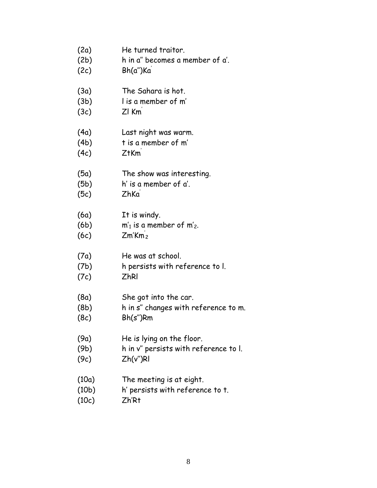| (2a)  | He turned traitor.                    |
|-------|---------------------------------------|
| (2b)  | h in a" becomes a member of a'.       |
| (2c)  | Bh(a")Ka                              |
| (3a)  | The Sahara is hot.                    |
| (3b)  | I is a member of m'                   |
| (3c)  | $Zl$ $Km$                             |
| (4a)  | Last night was warm.                  |
| (4b)  | t is a member of m'                   |
| (4c)  | $Z$ <sup>t</sup> $Km$                 |
| (5a)  | The show was interesting.             |
| (5b)  | h' is a member of a'.                 |
| (5c)  | ZhKa                                  |
| (6a)  | It is windy.                          |
| (6b)  | $m'_1$ is a member of $m'_2$ .        |
| (6c)  | Zm'Km <sub>2</sub>                    |
| (7a)  | He was at school.                     |
| (7b)  | h persists with reference to l.       |
| (7c)  | <b>ZhRI</b>                           |
| (8a)  | She got into the car.                 |
| (8b)  | h in s" changes with reference to m.  |
| (8c)  | Bh(s'')Rm                             |
| (9a)  | He is lying on the floor.             |
| (9b)  | h in v" persists with reference to l. |
| (9c)  | Zh(v")Rl                              |
| (10a) | The meeting is at eight.              |
| (10b) | h' persists with reference to t.      |
| (10c) | Zh'Rt                                 |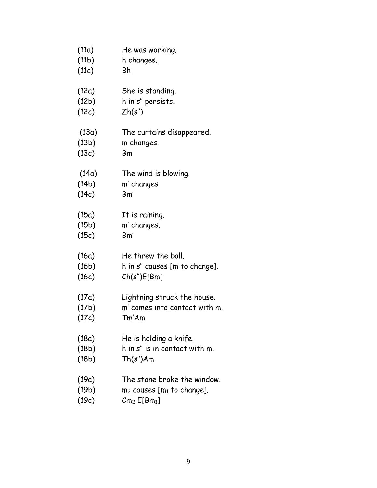| (11a) | He was working.                  |
|-------|----------------------------------|
| (11b) | h changes.                       |
| (11c) | Bh                               |
| (12a) | She is standing.                 |
| (12b) | h in s" persists.                |
| (12c) | Zh(s")                           |
| (13a) | The curtains disappeared.        |
| (13b) | m changes.                       |
| (13c) | Bm                               |
| (14a) | The wind is blowing.             |
| (14b) | m' changes                       |
| (14c) | Bm'                              |
| (15a) | It is raining.                   |
| (15b) | m' changes.                      |
| (15c) | Bm'                              |
| (16a) | He threw the ball.               |
| (16b) | h in s" causes [m to change].    |
| (16c) | Ch(s")E[Bm]                      |
| (17a) | Lightning struck the house.      |
| (17b) | m' comes into contact with m.    |
| (17c) | Tm'Am                            |
| (18a) | He is holding a knife.           |
| (18b) | h in s" is in contact with m.    |
| (18b) | Th(s")Am                         |
| (19a) | The stone broke the window.      |
| (19b) | $m_2$ causes [ $m_1$ to change]. |
| (19c) | $Cm2$ $E[Bm1]$                   |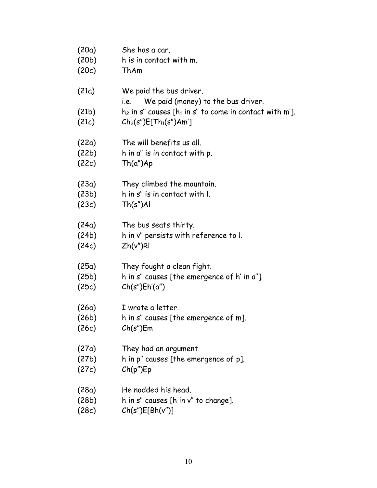| (20a) | She has a car.                                                        |
|-------|-----------------------------------------------------------------------|
| (20b) | h is in contact with m.                                               |
| (20c) | ThAm                                                                  |
| (21a) | We paid the bus driver.<br>We paid (money) to the bus driver.<br>i.e. |
| (21b) | $h_2$ in s" causes [ $h_1$ in s" to come in contact with m'].         |
| (21c) | $Ch_2(s'')E[Th_1(s'')Am']$                                            |
| (22a) | The will benefits us all.                                             |
| (22b) | h in a" is in contact with p.                                         |
| (22c) | Th(a")Ap                                                              |
| (23a) | They climbed the mountain.                                            |
| (23b) | h in s" is in contact with I.                                         |
| (23c) | $Th(s")$ Al                                                           |
| (24a) | The bus seats thirty.                                                 |
| (24b) | h in v" persists with reference to I.                                 |
| (24c) | Zh(v")R                                                               |
| (25a) | They fought a clean fight.                                            |
| (25b) | h in s" causes [the emergence of h' in a"].                           |
| (25c) | Ch(s")Eh'(a")                                                         |
| (26a) | I wrote a letter.                                                     |
| (26b) | h in s" causes [the emergence of m].                                  |
| (26c) | Ch(s")Em                                                              |
| (27a) | They had an argument.                                                 |
| (27b) | h in p" causes [the emergence of p].                                  |
| (27c) | Ch(p")Ep                                                              |
| (28a) | He nodded his head.                                                   |
| (28b) | h in s" causes [h in v" to change].                                   |
| (28c) | Ch(s")E[ Bh(v'')]                                                     |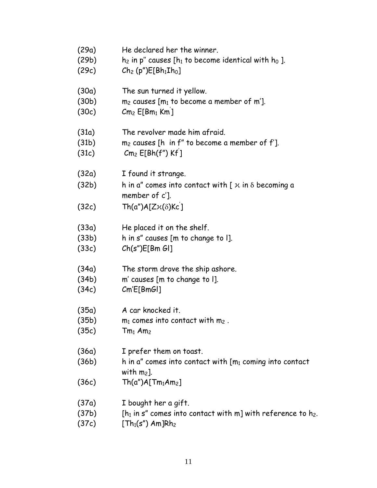| (29a)          | He declared her the winner.                                                                                      |
|----------------|------------------------------------------------------------------------------------------------------------------|
| (29b)          | $h_2$ in p" causes [ $h_1$ to become identical with $h_0$ ].                                                     |
| (29c)          | $Ch_2(p'')E[Bh_1Ih_0]$                                                                                           |
| (30a)          | The sun turned it yellow.                                                                                        |
| (30b)          | $m_2$ causes [ $m_1$ to become a member of m'].                                                                  |
| (30c)          | $Cm2$ $E[Bm1$ Km ]                                                                                               |
| (31a)          | The revolver made him afraid.                                                                                    |
| (31b)          | $m_2$ causes [h in f" to become a member of f'].                                                                 |
| (31c)          | $Cm2 E[Bh(fu) Kf]$                                                                                               |
| (32a)<br>(32b) | I found it strange.<br>h in a" comes into contact with [ $x$ in $\delta$ becoming a<br>member of c'].            |
| (32c)          | $Th(a")A[Zx(\delta)Kc]$                                                                                          |
| (33a)          | He placed it on the shelf.                                                                                       |
| (33b)          | h in s" causes [m to change to I].                                                                               |
| (33c)          | Ch(s")E[Bm Gl]                                                                                                   |
| (34a)          | The storm drove the ship ashore.                                                                                 |
| (34b)          | m' causes [m to change to I].                                                                                    |
| (34c)          | Cm'E[BmGI]                                                                                                       |
| (35a)          | A car knocked it.                                                                                                |
| (35b)          | $m_1$ comes into contact with $m_2$ .                                                                            |
| (35c)          | $Tm_1$ Am <sub>2</sub>                                                                                           |
| (36a)<br>(36b) | I prefer them on toast.<br>h in a" comes into contact with $\mathfrak{m}_1$ coming into contact<br>with $m_2$ ]. |
| (36c)          | Th(a")A[Tm <sub>1</sub> Am <sub>2</sub> ]                                                                        |
| (37a)          | I bought her a gift.                                                                                             |
| (37b)          | [ $h_1$ in s" comes into contact with m] with reference to $h_2$ .                                               |
| (37c)          | $[Th_{i}(c'')$ Am $1 Dh_{i}$                                                                                     |

 $(37c)$  [Th<sub>1</sub>(s") Am]Rh<sub>2</sub>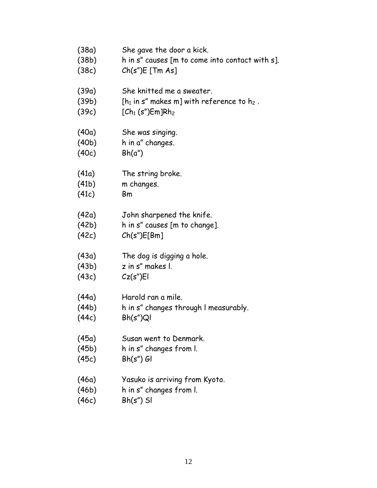- (38a) She gave the door a kick.
- (38b) h in s" causes [m to come into contact with s].
- (38c) Ch(s")E [Tm As]
- (39a) She knitted me a sweater.
- (39b)  $[h_1 \text{ in } s'' \text{ makes } m]$  with reference to  $h_2$ .
- $(39c)$   $[Ch_1 (s'')Em]Rh_2$
- (40a) She was singing.
- (40b) h in a" changes.
- (40c) Bh(a")
- (41a) The string broke.
- (41b) m changes.
- (41c) Bm
- (42a) John sharpened the knife.
- (42b) h in s" causes [m to change].
- (42c) Ch(s")E[Bm]
- (43a) The dog is digging a hole.
- (43b) z in s" makes l.
- (43c) Cz(s")El
- (44a) Harold ran a mile.
- (44b) h in s" changes through l measurably.
- (44c) Bh(s")Ql
- (45a) Susan went to Denmark.
- (45b) h in s" changes from l.
- (45c) Bh(s") Gl
- (46a) Yasuko is arriving from Kyoto.
- (46b) h in s" changes from l.
- (46c) Bh(s") Sl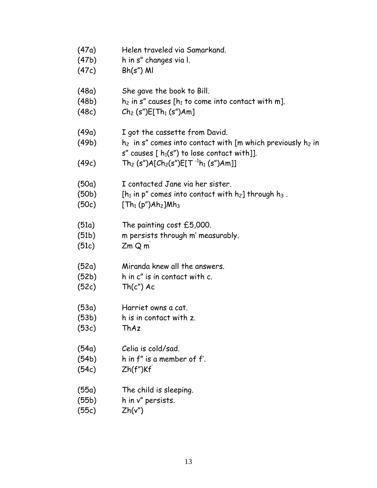- (47a) Helen traveled via Samarkand.
- (47b) h in s" changes via l.
- (47c) Bh(s") Ml
- (48a) She gave the book to Bill.
- (48b) h<sub>2</sub> in s" causes [ $h_1$  to come into contact with m].
- $(48c)$   $Ch_2(s'')E[Th_1(s'')Am]$
- (49a) I got the cassette from David.
- (49b)  $h_2$  in s" comes into contact with [m which previously  $h_2$  in s" causes  $[ h_1(s'')$  to lose contact with]].
- (49c)  $\hbox{\sf Th}_2\;(\hbox{\sf s}'')\hbox{\sf A}[\hbox{\sf Ch}_2(\hbox{\sf s}'')\hbox{\sf E}[\hbox{\sf T}^{-1}\hbox{\sf h}_1\;(\hbox{\sf s}'')\hbox{\sf Am}]]$
- (50a) I contacted Jane via her sister.
- (50b) [ $h_1$  in p" comes into contact with  $h_2$ ] through  $h_3$ .
- $(50c)$  [Th<sub>1</sub> (p")Ah<sub>2</sub>]Mh<sub>3</sub>
- (51a) The painting cost £5,000.
- (51b) m persists through m' measurably.
- (51c) Zm Q m'
- (52a) Miranda knew all the answers.
- (52b) h in c" is in contact with c.
- $(52c)$  Th $(c'')$  Ac
- (53a) Harriet owns a cat.
- (53b) h is in contact with z.
- (53c) ThAz
- (54a) Celia is cold/sad.
- (54b) h in f" is a member of f'.
- (54c) Zh(f")Kf'
- (55a) The child is sleeping.
- (55b) h in v" persists.
- (55c) Zh(v")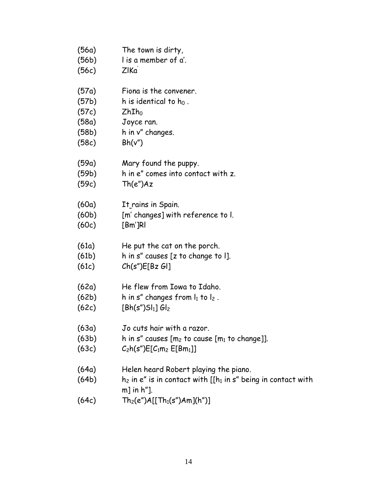| (56а) | The town is dirty,                                                                      |
|-------|-----------------------------------------------------------------------------------------|
| (56b) | I is a member of a'.                                                                    |
| (56c) | ZIKa                                                                                    |
| (57a) | Fiona is the convener.                                                                  |
| (57b) | h is identical to $h_0$ .                                                               |
| (57c) | $ZhIh_0$                                                                                |
| (58a) | Joyce ran.                                                                              |
| (58b) | h in v" changes.                                                                        |
| (58c) | Bh(v'')                                                                                 |
| (59a) | Mary found the puppy.                                                                   |
| (59b) | h in e" comes into contact with z.                                                      |
| (59c) | Th(e")Az                                                                                |
| (60a) | It rains in Spain.                                                                      |
| (60b) | [m' changes] with reference to I.                                                       |
| (60c) | $[Bm']$ RI                                                                              |
| (61a) | He put the cat on the porch.                                                            |
| (61b) | h in s" causes [z to change to I].                                                      |
| (61c) | Ch(s")E[Bz G]                                                                           |
| (62a) | He flew from Iowa to Idaho.                                                             |
| (62b) | h in s" changes from $I_1$ to $I_2$ .                                                   |
| (62c) | $[Bh(s")Sl_1]Gl_2$                                                                      |
| (63a) | Jo cuts hair with a razor.                                                              |
| (63b) | h in s" causes $[m_2$ to cause $[m_1$ to change]].                                      |
| (63c) | $C_2h(s'')E[C_1m_2 E[Bm_1]]$                                                            |
| (64a) | Helen heard Robert playing the piano.                                                   |
| (64b) | $h_2$ in e" is in contact with [[ $h_1$ in s" being in contact with<br>$m$ ] in $h$ "]. |
| (64c) | $Th_2(e'')A[[Th_1(s'')Am](h'')]$                                                        |
|       |                                                                                         |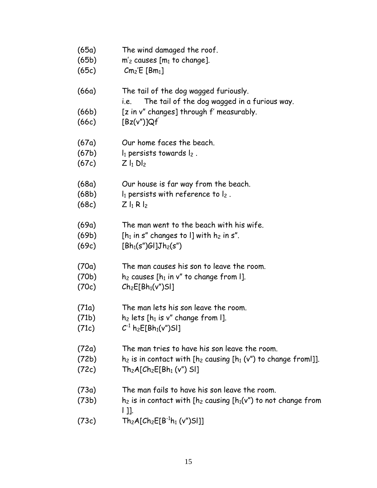(65a) The wind damaged the roof.  $(65b)$  m'<sub>2</sub> causes  $[m_1 \text{ to change}]$ .  $(65c)$   $Cm_2'E$  [Bm<sub>1</sub>] (66a) The tail of the dog wagged furiously. i.e. The tail of the dog wagged in a furious way. (66b) [z in v" changes] through f' measurably.  $(66c)$   $[Bz(v'')]Qf'$ (67a) Our home faces the beach. (67b)  $I_1$  persists towards  $I_2$ .  $(67c)$   $Z |_1 D |_2$ (68a) Our house is far way from the beach. (68b)  $l_1$  persists with reference to  $l_2$ .  $(68c)$   $Z |_1 R |_2$ (69a) The man went to the beach with his wife. (69b) [ $h_1$  in s" changes to I] with  $h_2$  in s".  $(69c)$  [Bh<sub>1</sub>(s")Gl]Jh<sub>2</sub>(s") (70a) The man causes his son to leave the room. (70b) h<sub>2</sub> causes  $[h_1$  in v" to change from  $l$ ].  $(70c)$   $Ch_2E[Bh_1(v'')S]$ (71a) The man lets his son leave the room. (71b)  $h_2$  lets  $[h_1$  is v" change from  $l$ ].  $(71c)$   $C^{-1}$  h<sub>2</sub>E[Bh<sub>1</sub>(v")Sl] (72a) The man tries to have his son leave the room. (72b) h<sub>2</sub> is in contact with  $[h_2 \text{ causing } [h_1 (v'') \text{ to change from } ]]$ .  $(72c)$  Th<sub>2</sub>A[Ch<sub>2</sub>E[Bh<sub>1</sub> (v") Sl] (73a) The man fails to have his son leave the room. (73b) h<sub>2</sub> is in contact with  $[h_2 \text{ causing } [h_1(v'')]$  to not change from  $|$   $|$   $|$   $|$ . (73c)  $\text{Th}_2\text{A}[\text{Ch}_2\text{E}[{\sf B}^{\text{-1}}\textsf{h}_1 \text{ (v}'')\text{S}]\text{]}$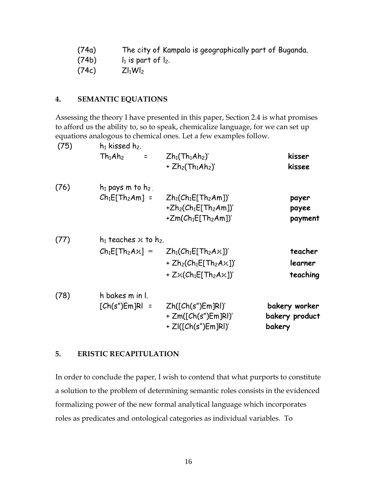- (74a) The city of Kampala is geographically part of Buganda.
- $(74b)$   $l_1$  is part of  $l_2$ .

 $(74c)$   $ZI_1WI_2$ 

# **4. SEMANTIC EQUATIONS**

Assessing the theory I have presented in this paper, Section 2.4 is what promises to afford us the ability to, so to speak, chemicalize language, for we can set up equations analogous to chemical ones. Let a few examples follow.

| (75) | $h_1$ kissed $h_2$ .<br>Th <sub>1</sub> Ah <sub>2</sub><br>$\equiv$ | $Zh_1(Th_1Ah_2)'$<br>+ $Zh2(Th1Ah2)'$                                                                                              | kisser<br>kissee                          |
|------|---------------------------------------------------------------------|------------------------------------------------------------------------------------------------------------------------------------|-------------------------------------------|
| (76) | $h_1$ pays m to $h_2$<br>$Ch_1E[Th_2Am]$ =                          | $Zh_1(Ch_1E[Th_2Am])'$<br>+ $Zh2(Ch1E[Th2Am])'$<br>+ $Zm(Ch_1E[Th_2Am])'$                                                          | payer<br>payee<br>payment                 |
| (77) | $h_1$ teaches $x$ to $h_2$ .                                        | $Ch_1E[Th_2Ax] = Zh_1(Ch_1E[Th_2Ax])'$<br>+ $Zh_2(Ch_1E[Th_2A\chi])'$<br>+ $Z\chi$ (Ch <sub>1</sub> E[Th <sub>2</sub> A $\chi$ ])' | teacher<br>learner<br>teaching            |
| (78) | h bakes m in l.<br>$[Ch(s")Em]Rl =$                                 | Zh([Ch(s")Em]RI)'<br>$+ Zm([Ch(s")Em]RI)'$<br>+ ZI([Ch(s")Em]RI)'                                                                  | bakery worker<br>bakery product<br>bakery |

# **5. ERISTIC RECAPITULATION**

In order to conclude the paper, I wish to contend that what purports to constitute a solution to the problem of determining semantic roles consists in the evidenced formalizing power of the new formal analytical language which incorporates roles as predicates and ontological categories as individual variables. To